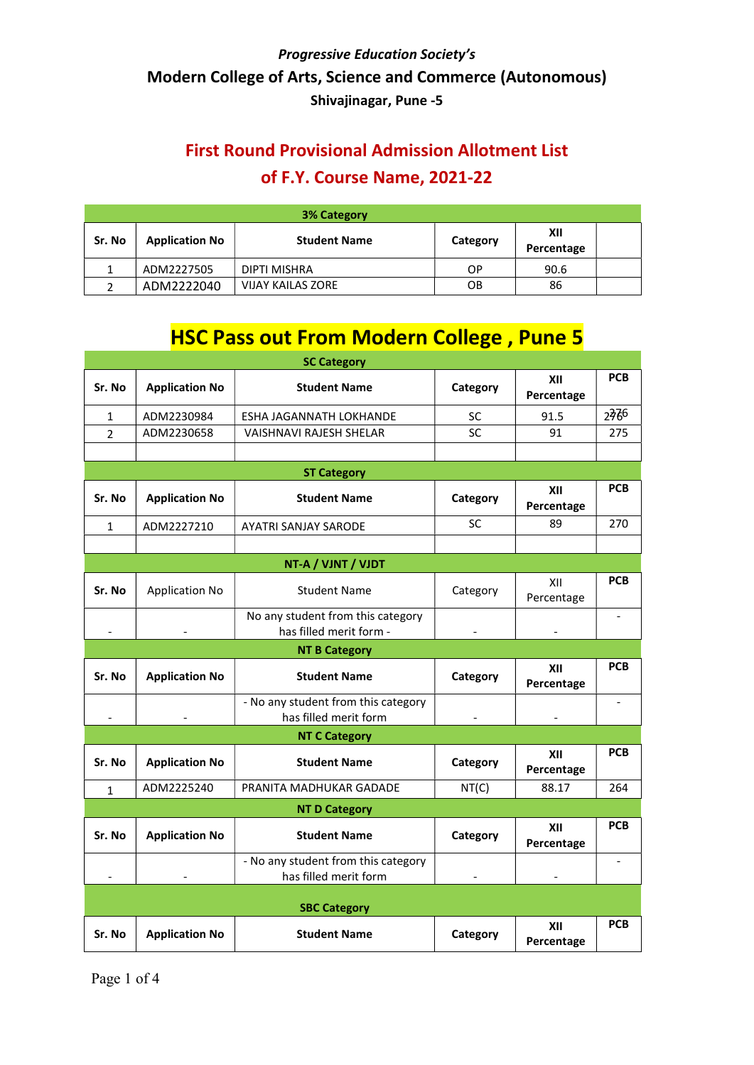## First Round Provisional Admission Allotment List of F.Y. Course Name, 2021-22

| <b>3% Category</b> |                       |                          |          |                   |  |  |
|--------------------|-----------------------|--------------------------|----------|-------------------|--|--|
| Sr. No             | <b>Application No</b> | <b>Student Name</b>      | Category | XII<br>Percentage |  |  |
|                    | ADM2227505            | DIPTI MISHRA             | ОP       | 90.6              |  |  |
|                    | ADM2222040            | <b>VIJAY KAILAS ZORE</b> | OΒ       | 86                |  |  |

# **HSC Pass out From Modern College, Pune 5**

| <b>SC Category</b> |                       |                                                              |           |                   |                          |  |  |
|--------------------|-----------------------|--------------------------------------------------------------|-----------|-------------------|--------------------------|--|--|
| Sr. No             | <b>Application No</b> | <b>Student Name</b>                                          | Category  | XII<br>Percentage | <b>PCB</b>               |  |  |
| $\mathbf 1$        | ADM2230984            | ESHA JAGANNATH LOKHANDE                                      | SC        | 91.5              | 2766                     |  |  |
| $\overline{2}$     | ADM2230658            | VAISHNAVI RAJESH SHELAR                                      | SC        | 91                | 275                      |  |  |
|                    |                       |                                                              |           |                   |                          |  |  |
|                    |                       | <b>ST Category</b>                                           |           |                   |                          |  |  |
| Sr. No             | <b>Application No</b> | <b>Student Name</b>                                          | Category  | XII<br>Percentage | <b>PCB</b>               |  |  |
| $\mathbf{1}$       | ADM2227210            | AYATRI SANJAY SARODE                                         | <b>SC</b> | 89                | 270                      |  |  |
|                    |                       |                                                              |           |                   |                          |  |  |
|                    |                       | NT-A / VJNT / VJDT                                           |           |                   |                          |  |  |
| Sr. No             | <b>Application No</b> | <b>Student Name</b>                                          | Category  | XII<br>Percentage | <b>PCB</b>               |  |  |
|                    |                       | No any student from this category<br>has filled merit form - |           |                   |                          |  |  |
|                    |                       | <b>NT B Category</b>                                         |           |                   |                          |  |  |
| Sr. No             | <b>Application No</b> | <b>Student Name</b>                                          | Category  | XII<br>Percentage | <b>PCB</b>               |  |  |
|                    |                       | - No any student from this category<br>has filled merit form |           |                   | $\overline{\phantom{a}}$ |  |  |
|                    |                       | <b>NT C Category</b>                                         |           |                   |                          |  |  |
| Sr. No             | <b>Application No</b> | <b>Student Name</b>                                          | Category  | XII<br>Percentage | <b>PCB</b>               |  |  |
| 1                  | ADM2225240            | PRANITA MADHUKAR GADADE                                      | NT(C)     | 88.17             | 264                      |  |  |
|                    | <b>NT D Category</b>  |                                                              |           |                   |                          |  |  |
| Sr. No             | <b>Application No</b> | <b>Student Name</b>                                          | Category  | XII<br>Percentage | <b>PCB</b>               |  |  |
|                    |                       | - No any student from this category<br>has filled merit form |           |                   | $\blacksquare$           |  |  |
|                    | <b>SBC Category</b>   |                                                              |           |                   |                          |  |  |
| Sr. No             | <b>Application No</b> | <b>Student Name</b>                                          | Category  | XII<br>Percentage | <b>PCB</b>               |  |  |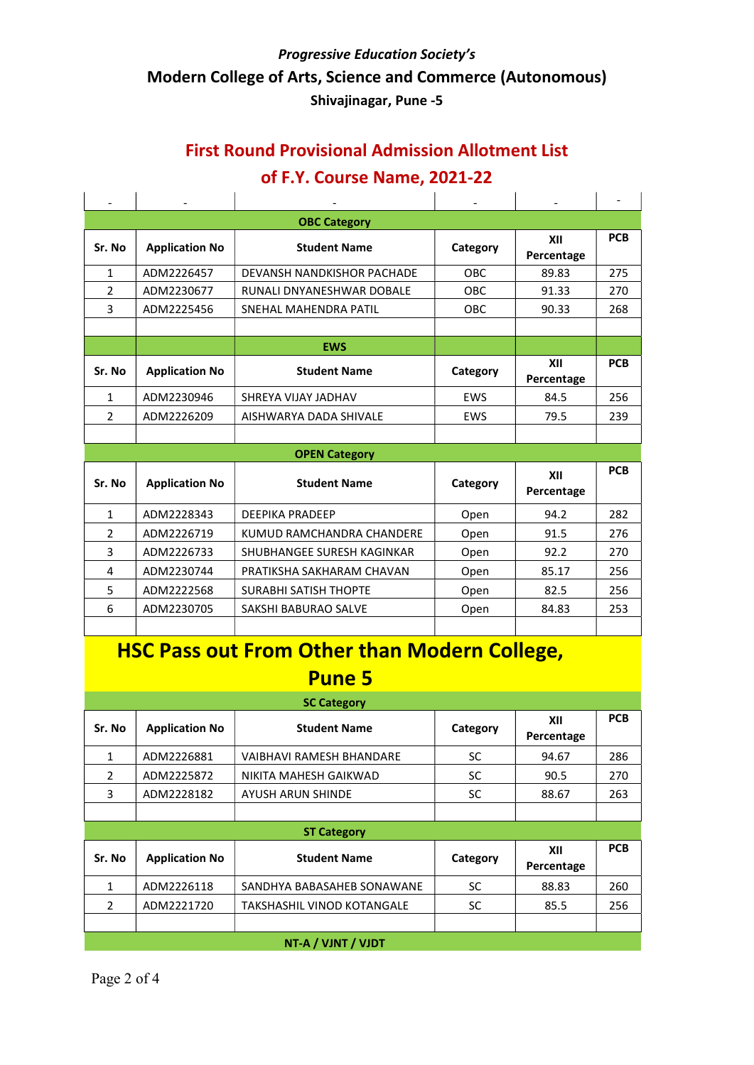### First Round Provisional Admission Allotment List

### of F.Y. Course Name, 2021-22

|                |                       | <b>OBC Category</b>          |            |                   |            |
|----------------|-----------------------|------------------------------|------------|-------------------|------------|
| Sr. No         | <b>Application No</b> | <b>Student Name</b>          | Category   | XII<br>Percentage | <b>PCB</b> |
| $\mathbf{1}$   | ADM2226457            | DEVANSH NANDKISHOR PACHADE   | OBC        | 89.83             | 275        |
| $\overline{2}$ | ADM2230677            | RUNALI DNYANESHWAR DOBALE    | <b>OBC</b> | 91.33             | 270        |
| 3              | ADM2225456            | SNEHAL MAHENDRA PATIL        | <b>OBC</b> | 90.33             | 268        |
|                |                       |                              |            |                   |            |
|                |                       | <b>EWS</b>                   |            |                   |            |
| Sr. No         | <b>Application No</b> | <b>Student Name</b>          | Category   | XII<br>Percentage | <b>PCB</b> |
| $\mathbf{1}$   | ADM2230946            | SHREYA VIJAY JADHAV          | <b>FWS</b> | 84.5              | 256        |
| $\mathfrak{p}$ | ADM2226209            | AISHWARYA DADA SHIVALE       | EWS        | 79.5              | 239        |
|                |                       |                              |            |                   |            |
|                |                       | <b>OPEN Category</b>         |            |                   |            |
| Sr. No         | <b>Application No</b> | <b>Student Name</b>          | Category   | XII<br>Percentage | <b>PCB</b> |
| $\mathbf{1}$   | ADM2228343            | <b>DEEPIKA PRADEEP</b>       | Open       | 94.2              | 282        |
| $\mathcal{P}$  | ADM2226719            | KUMUD RAMCHANDRA CHANDERE    | Open       | 91.5              | 276        |
| 3              | ADM2226733            | SHUBHANGEE SURESH KAGINKAR   | Open       | 92.2              | 270        |
| 4              | ADM2230744            | PRATIKSHA SAKHARAM CHAVAN    | Open       | 85.17             | 256        |
| 5              | ADM2222568            | <b>SURABHI SATISH THOPTE</b> | Open       | 82.5              | 256        |
| 6              | ADM2230705            | SAKSHI BABURAO SALVE         | Open       | 84.83             | 253        |
|                |                       |                              |            |                   |            |

## HSC Pass out From Other than Modern College, Pune 5

| <b>SC Category</b> |                       |                            |          |                   |            |  |
|--------------------|-----------------------|----------------------------|----------|-------------------|------------|--|
| Sr. No             | <b>Application No</b> | <b>Student Name</b>        | Category | XII<br>Percentage | <b>PCB</b> |  |
| 1                  | ADM2226881            | VAIBHAVI RAMESH BHANDARE   | SC.      | 94.67             | 286        |  |
| $\mathcal{P}$      | ADM2225872            | NIKITA MAHESH GAIKWAD      | SC       | 90.5              | 270        |  |
| 3                  | ADM2228182            | AYUSH ARUN SHINDE          | SC       | 88.67             | 263        |  |
|                    |                       |                            |          |                   |            |  |
| <b>ST Category</b> |                       |                            |          |                   |            |  |
|                    |                       |                            |          |                   |            |  |
| Sr. No             | <b>Application No</b> | <b>Student Name</b>        | Category | XII<br>Percentage | <b>PCB</b> |  |
| 1                  | ADM2226118            | SANDHYA BABASAHEB SONAWANE | SC       | 88.83             | 260        |  |
| $\mathcal{P}$      | ADM2221720            | TAKSHASHIL VINOD KOTANGALE | SC.      | 85.5              | 256        |  |
|                    |                       |                            |          |                   |            |  |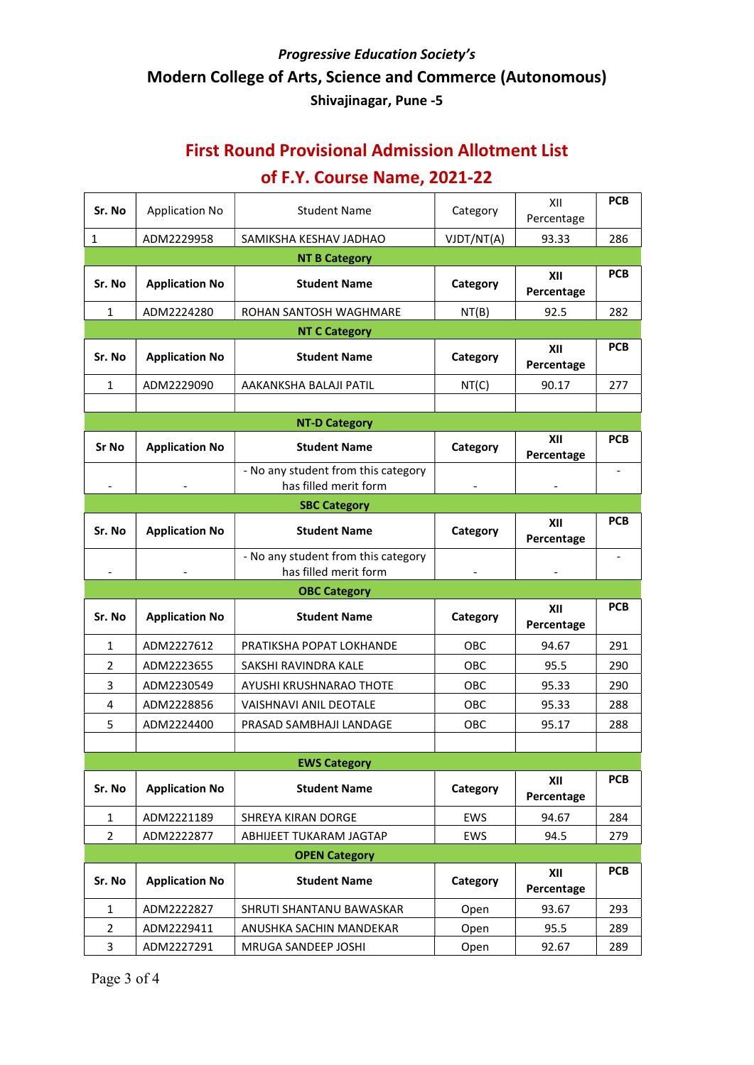## First Round Provisional Admission Allotment List of F.Y. Course Name, 2021-22

| Sr. No                       | <b>Application No</b> | <b>Student Name</b>                                          | Category   | XII               | <b>PCB</b> |
|------------------------------|-----------------------|--------------------------------------------------------------|------------|-------------------|------------|
|                              |                       |                                                              |            | Percentage        |            |
| $\mathbf{1}$                 | ADM2229958            | SAMIKSHA KESHAV JADHAO                                       | VJDT/NT(A) | 93.33             | 286        |
| Sr. No                       | <b>Application No</b> | <b>NT B Category</b><br><b>Student Name</b>                  | Category   | XII<br>Percentage | <b>PCB</b> |
| 1                            | ADM2224280            | ROHAN SANTOSH WAGHMARE                                       | NT(B)      | 92.5              | 282        |
|                              |                       | <b>NT C Category</b>                                         |            |                   |            |
| Sr. No                       | <b>Application No</b> | <b>Student Name</b>                                          | Category   | XII<br>Percentage | <b>PCB</b> |
| $\mathbf{1}$                 | ADM2229090            | AAKANKSHA BALAJI PATIL                                       | NT(C)      | 90.17             | 277        |
|                              |                       |                                                              |            |                   |            |
|                              |                       | <b>NT-D Category</b>                                         |            |                   |            |
| Sr No                        | <b>Application No</b> | <b>Student Name</b>                                          | Category   | XII<br>Percentage | <b>PCB</b> |
|                              |                       | - No any student from this category<br>has filled merit form |            |                   |            |
|                              |                       | <b>SBC Category</b>                                          |            |                   |            |
| Sr. No                       | <b>Application No</b> | <b>Student Name</b>                                          | Category   | XII<br>Percentage | <b>PCB</b> |
|                              |                       | - No any student from this category                          |            |                   |            |
| $\qquad \qquad \blacksquare$ |                       | has filled merit form                                        |            |                   |            |
|                              |                       | <b>OBC Category</b>                                          |            |                   |            |
| Sr. No                       | <b>Application No</b> | <b>Student Name</b>                                          | Category   | XII<br>Percentage | <b>PCB</b> |
| 1                            | ADM2227612            | PRATIKSHA POPAT LOKHANDE                                     | <b>OBC</b> | 94.67             | 291        |
| 2                            | ADM2223655            | SAKSHI RAVINDRA KALE                                         | OBC.       | 95.5              | 290        |
| 3                            | ADM2230549            | AYUSHI KRUSHNARAO THOTE                                      | <b>OBC</b> | 95.33             | 290        |
| 4                            | ADM2228856            | VAISHNAVI ANIL DEOTALE                                       | <b>OBC</b> | 95.33             | 288        |
| 5                            | ADM2224400            | PRASAD SAMBHAJI LANDAGE                                      | OBC        | 95.17             | 288        |
|                              |                       |                                                              |            |                   |            |
|                              |                       | <b>EWS Category</b>                                          |            |                   |            |
| Sr. No                       | <b>Application No</b> | <b>Student Name</b>                                          | Category   | XII<br>Percentage | <b>PCB</b> |
| $\mathbf{1}$                 | ADM2221189            | SHREYA KIRAN DORGE                                           | EWS        | 94.67             | 284        |
| $\overline{2}$               | ADM2222877            | ABHIJEET TUKARAM JAGTAP                                      | EWS        | 94.5              | 279        |
|                              |                       | <b>OPEN Category</b>                                         |            |                   |            |
| Sr. No                       | <b>Application No</b> | <b>Student Name</b>                                          | Category   | XII<br>Percentage | <b>PCB</b> |
| $\mathbf{1}$                 | ADM2222827            | SHRUTI SHANTANU BAWASKAR                                     | Open       | 93.67             | 293        |
| $\overline{2}$               | ADM2229411            | ANUSHKA SACHIN MANDEKAR                                      | Open       | 95.5              | 289        |